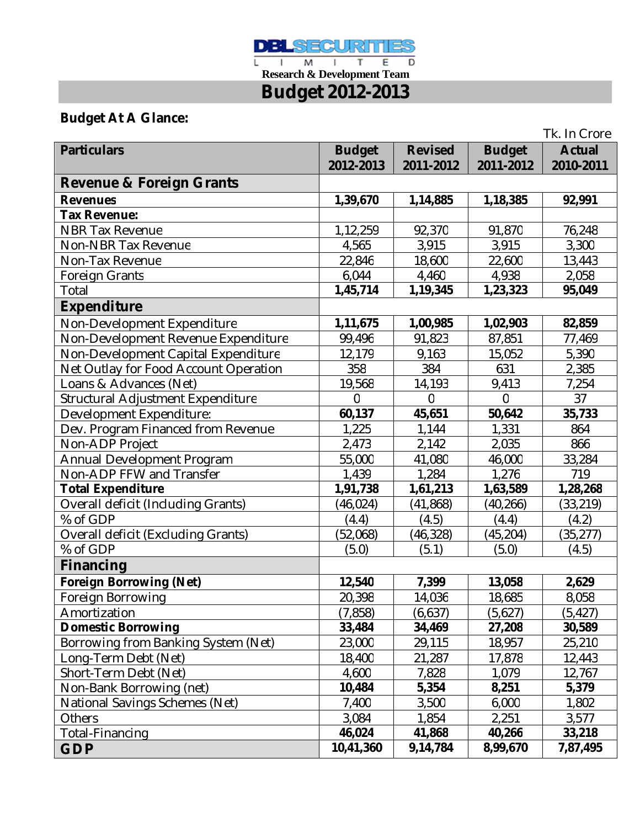

 **Research & Development Team Budget 2012-2013**

# **Budget At A Glance:**

|                                           |                |                |                | Tk. In Crore  |
|-------------------------------------------|----------------|----------------|----------------|---------------|
| <b>Particulars</b>                        | <b>Budget</b>  | <b>Revised</b> | <b>Budget</b>  | <b>Actual</b> |
|                                           | 2012-2013      | 2011-2012      | 2011-2012      | 2010-2011     |
| <b>Revenue &amp; Foreign Grants</b>       |                |                |                |               |
| <b>Revenues</b>                           | 1,39,670       | 1,14,885       | 1,18,385       | 92,991        |
| <b>Tax Revenue:</b>                       |                |                |                |               |
| <b>NBR Tax Revenue</b>                    | 1,12,259       | 92,370         | 91,870         | 76,248        |
| <b>Non-NBR Tax Revenue</b>                | 4,565          | 3,915          | 3,915          | 3,300         |
| Non-Tax Revenue                           | 22,846         | 18,600         | 22,600         | 13,443        |
| <b>Foreign Grants</b>                     | 6,044          | 4,460          | 4,938          | 2,058         |
| Total                                     | 1,45,714       | 1,19,345       | 1,23,323       | 95,049        |
| <b>Expenditure</b>                        |                |                |                |               |
| Non-Development Expenditure               | 1,11,675       | 1,00,985       | 1,02,903       | 82,859        |
| Non-Development Revenue Expenditure       | 99,496         | 91,823         | 87,851         | 77,469        |
| Non-Development Capital Expenditure       | 12,179         | 9,163          | 15,052         | 5,390         |
| Net Outlay for Food Account Operation     | 358            | 384            | 631            | 2,385         |
| Loans & Advances (Net)                    | 19,568         | 14,193         | 9,413          | 7,254         |
| Structural Adjustment Expenditure         | $\overline{0}$ | $\Omega$       | $\overline{0}$ | 37            |
| Development Expenditure:                  | 60,137         | 45,651         | 50,642         | 35,733        |
| Dev. Program Financed from Revenue        | 1,225          | 1,144          | 1,331          | 864           |
| Non-ADP Project                           | 2,473          | 2,142          | 2,035          | 866           |
| Annual Development Program                | 55,000         | 41,080         | 46,000         | 33,284        |
| Non-ADP FFW and Transfer                  | 1,439          | 1,284          | 1,276          | 719           |
| <b>Total Expenditure</b>                  | 1,91,738       | 1,61,213       | 1,63,589       | 1,28,268      |
| <b>Overall deficit (Including Grants)</b> | (46, 024)      | (41, 868)      | (40, 266)      | (33, 219)     |
| % of GDP                                  | (4.4)          | (4.5)          | (4.4)          | (4.2)         |
| <b>Overall deficit (Excluding Grants)</b> | (52,068)       | (46, 328)      | (45, 204)      | (35, 277)     |
| % of GDP                                  | (5.0)          | (5.1)          | (5.0)          | (4.5)         |
| Financing                                 |                |                |                |               |
| <b>Foreign Borrowing (Net)</b>            | 12,540         | 7,399          | 13,058         | 2,629         |
| Foreign Borrowing                         | 20,398         | 14,036         | 18,685         | 8,058         |
| Amortization                              | (7, 858)       | (6,637)        | (5,627)        | (5, 427)      |
| <b>Domestic Borrowing</b>                 | 33,484         | 34,469         | 27,208         | 30,589        |
| Borrowing from Banking System (Net)       | 23,000         | 29,115         | 18,957         | 25,210        |
| Long-Term Debt (Net)                      | 18,400         | 21,287         | 17,878         | 12,443        |
| Short-Term Debt (Net)                     | 4,600          | 7,828          | 1,079          | 12,767        |
| Non-Bank Borrowing (net)                  | 10,484         | 5,354          | 8,251          | 5,379         |
| National Savings Schemes (Net)            | 7,400          | 3,500          | 6,000          | 1,802         |
| Others                                    | 3,084          | 1,854          | 2,251          | 3,577         |
| Total-Financing                           | 46,024         | 41,868         | 40,266         | 33,218        |
| <b>GDP</b>                                | 10,41,360      | 9,14,784       | 8,99,670       | 7,87,495      |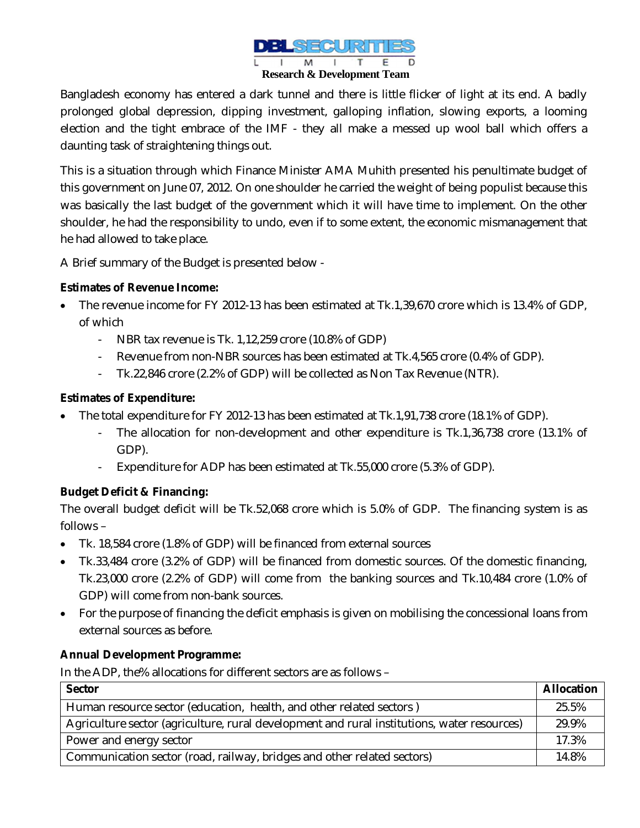

Bangladesh economy has entered a dark tunnel and there is little flicker of light at its end. A badly prolonged global depression, dipping investment, galloping inflation, slowing exports, a looming election and the tight embrace of the IMF - they all make a messed up wool ball which offers a daunting task of straightening things out.

This is a situation through which Finance Minister AMA Muhith presented his penultimate budget of this government on June 07, 2012. On one shoulder he carried the weight of being populist because this was basically the last budget of the government which it will have time to implement. On the other shoulder, he had the responsibility to undo, even if to some extent, the economic mismanagement that he had allowed to take place.

A Brief summary of the Budget is presented below -

### **Estimates of Revenue Income:**

- The revenue income for FY 2012-13 has been estimated at Tk.1,39,670 crore which is 13.4% of GDP, of which
	- NBR tax revenue is Tk. 1,12,259 crore (10.8% of GDP)
	- Revenue from non-NBR sources has been estimated at Tk.4,565 crore (0.4% of GDP).
	- Tk.22,846 crore (2.2% of GDP) will be collected as Non Tax Revenue (NTR).

### **Estimates of Expenditure:**

- The total expenditure for FY 2012-13 has been estimated at Tk.1,91,738 crore (18.1% of GDP).
	- The allocation for non-development and other expenditure is Tk.1,36,738 crore (13.1% of GDP).
	- Expenditure for ADP has been estimated at Tk.55,000 crore (5.3% of GDP).

### **Budget Deficit & Financing:**

The overall budget deficit will be Tk.52,068 crore which is 5.0% of GDP. The financing system is as follows –

- Tk. 18,584 crore (1.8% of GDP) will be financed from external sources
- Tk.33,484 crore (3.2% of GDP) will be financed from domestic sources. Of the domestic financing, Tk.23,000 crore (2.2% of GDP) will come from the banking sources and Tk.10,484 crore (1.0% of GDP) will come from non-bank sources.
- For the purpose of financing the deficit emphasis is given on mobilising the concessional loans from external sources as before.

### **Annual Development Programme:**

In the ADP, the% allocations for different sectors are as follows –

| <b>Sector</b>                                                                               | <b>Allocation</b> |
|---------------------------------------------------------------------------------------------|-------------------|
| Human resource sector (education, health, and other related sectors)                        | 25.5%             |
| Agriculture sector (agriculture, rural development and rural institutions, water resources) | 29.9%             |
| Power and energy sector                                                                     | 17.3%             |
| Communication sector (road, railway, bridges and other related sectors)                     |                   |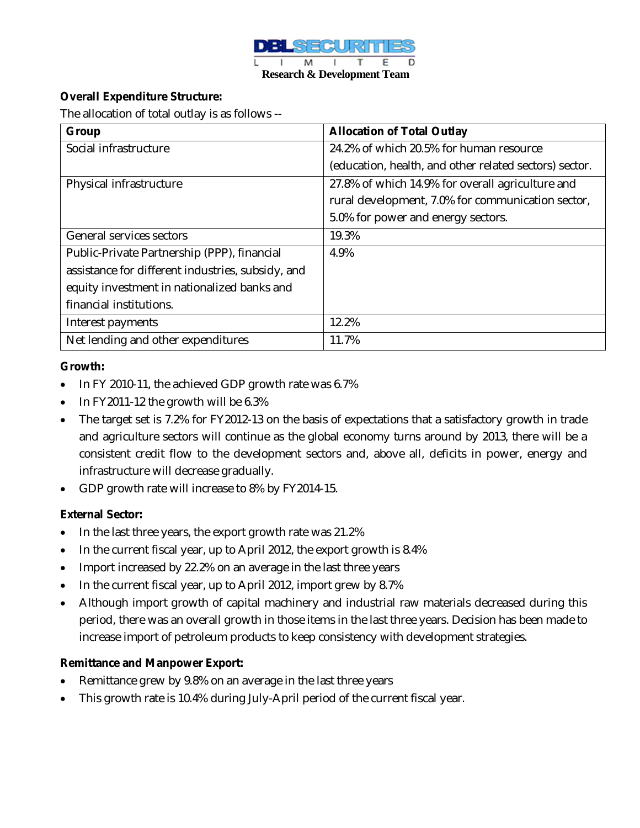

### **Overall Expenditure Structure:**

The allocation of total outlay is as follows --

| Group                                             | <b>Allocation of Total Outlay</b>                      |
|---------------------------------------------------|--------------------------------------------------------|
| Social infrastructure                             | 24.2% of which 20.5% for human resource                |
|                                                   | (education, health, and other related sectors) sector. |
| Physical infrastructure                           | 27.8% of which 14.9% for overall agriculture and       |
|                                                   | rural development, 7.0% for communication sector,      |
|                                                   | 5.0% for power and energy sectors.                     |
| General services sectors                          | 19.3%                                                  |
| Public-Private Partnership (PPP), financial       | 4.9%                                                   |
| assistance for different industries, subsidy, and |                                                        |
| equity investment in nationalized banks and       |                                                        |
| financial institutions.                           |                                                        |
| Interest payments                                 | 12.2%                                                  |
| Net lending and other expenditures                | 11.7%                                                  |

#### **Growth:**

- In FY 2010-11, the achieved GDP growth rate was 6.7%
- $\bullet$  In FY2011-12 the growth will be 6.3%
- The target set is 7.2% for FY2012-13 on the basis of expectations that a satisfactory growth in trade and agriculture sectors will continue as the global economy turns around by 2013, there will be a consistent credit flow to the development sectors and, above all, deficits in power, energy and infrastructure will decrease gradually.
- GDP growth rate will increase to 8% by FY2014-15.

#### **External Sector:**

- In the last three years, the export growth rate was 21.2%
- In the current fiscal year, up to April 2012, the export growth is 8.4%
- Import increased by 22.2% on an average in the last three years
- In the current fiscal year, up to April 2012, import grew by 8.7%
- Although import growth of capital machinery and industrial raw materials decreased during this period, there was an overall growth in those items in the last three years. Decision has been made to increase import of petroleum products to keep consistency with development strategies.

#### **Remittance and Manpower Export:**

- Remittance grew by 9.8% on an average in the last three years
- This growth rate is 10.4% during July-April period of the current fiscal year.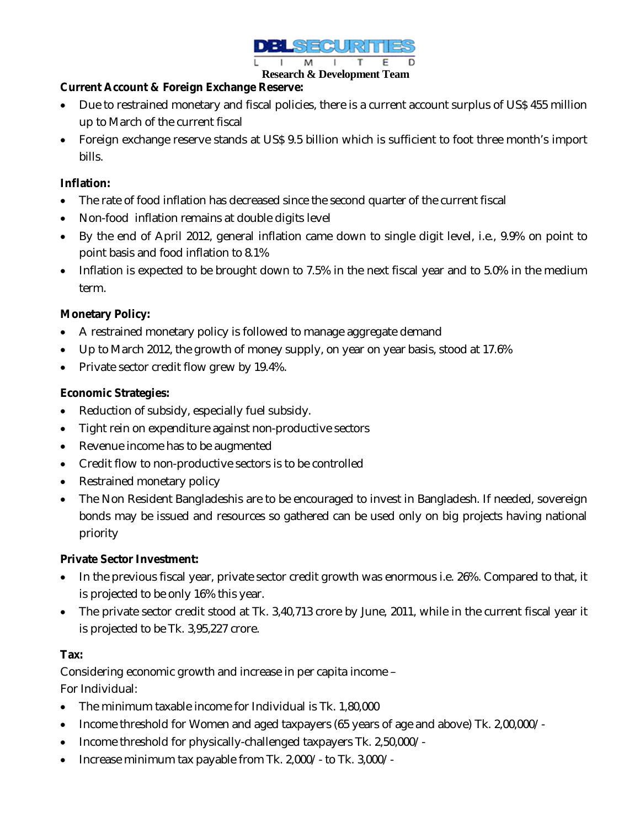

#### **Research & Development Team**

### **Current Account & Foreign Exchange Reserve:**

- Due to restrained monetary and fiscal policies, there is a current account surplus of US\$ 455 million up to March of the current fiscal
- Foreign exchange reserve stands at US\$ 9.5 billion which is sufficient to foot three month's import bills.

### **Inflation:**

- The rate of food inflation has decreased since the second quarter of the current fiscal
- Non-food inflation remains at double digits level
- By the end of April 2012, general inflation came down to single digit level, i.e., 9.9% on point to point basis and food inflation to 8.1%
- Inflation is expected to be brought down to 7.5% in the next fiscal year and to 5.0% in the medium term.

## **Monetary Policy:**

- A restrained monetary policy is followed to manage aggregate demand
- Up to March 2012, the growth of money supply, on year on year basis, stood at 17.6%
- Private sector credit flow grew by 19.4%.

## **Economic Strategies:**

- Reduction of subsidy, especially fuel subsidy.
- Tight rein on expenditure against non-productive sectors
- Revenue income has to be augmented
- Credit flow to non-productive sectors is to be controlled
- Restrained monetary policy
- The Non Resident Bangladeshis are to be encouraged to invest in Bangladesh. If needed, sovereign bonds may be issued and resources so gathered can be used only on big projects having national priority

### **Private Sector Investment:**

- In the previous fiscal year, private sector credit growth was enormous i.e. 26%. Compared to that, it is projected to be only 16% this year.
- The private sector credit stood at Tk. 3,40,713 crore by June, 2011, while in the current fiscal year it is projected to be Tk. 3,95,227 crore.

### **Tax:**

Considering economic growth and increase in per capita income – For Individual:

- The minimum taxable income for Individual is Tk. 1,80,000
- Income threshold for Women and aged taxpayers (65 years of age and above) Tk. 2,00,000/-
- Income threshold for physically-challenged taxpayers Tk. 2,50,000/-
- Increase minimum tax payable from Tk. 2,000/- to Tk. 3,000/-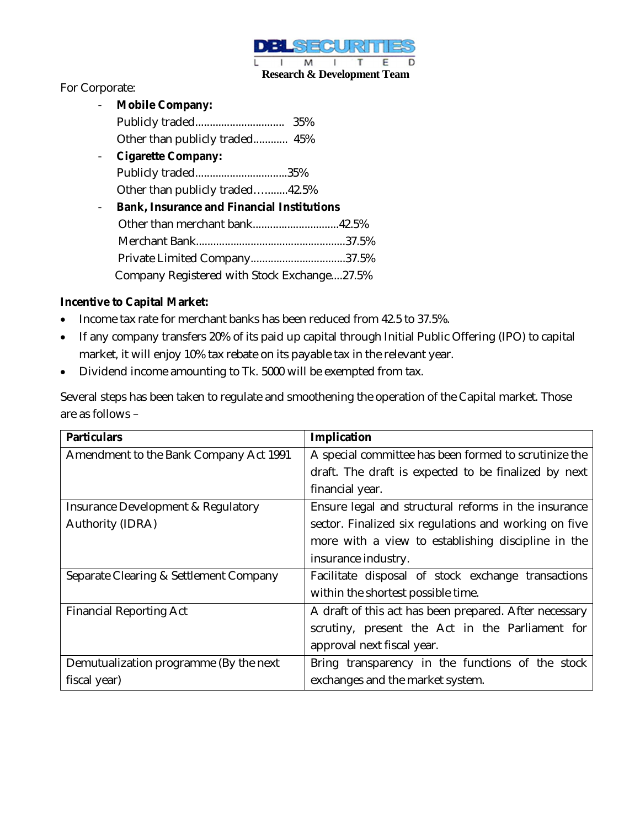

### For Corporate:

- **Mobile Company:**  Publicly traded............................... 35% Other than publicly traded............ 45% - **Cigarette Company:**  Publicly traded................................35% Other than publicly traded…........42.5% - **Bank, Insurance and Financial Institutions**  Other than merchant bank..............................42.5% Merchant Bank....................................................37.5% Private Limited Company.................................37.5% Company Registered with Stock Exchange....27.5%

### **Incentive to Capital Market:**

- Income tax rate for merchant banks has been reduced from 42.5 to 37.5%.
- If any company transfers 20% of its paid up capital through Initial Public Offering (IPO) to capital market, it will enjoy 10% tax rebate on its payable tax in the relevant year.
- Dividend income amounting to Tk. 5000 will be exempted from tax.

Several steps has been taken to regulate and smoothening the operation of the Capital market. Those are as follows –

| <b>Particulars</b>                     | Implication                                            |
|----------------------------------------|--------------------------------------------------------|
| Amendment to the Bank Company Act 1991 | A special committee has been formed to scrutinize the  |
|                                        | draft. The draft is expected to be finalized by next   |
|                                        | financial year.                                        |
| Insurance Development & Regulatory     | Ensure legal and structural reforms in the insurance   |
| Authority (IDRA)                       | sector. Finalized six regulations and working on five  |
|                                        | more with a view to establishing discipline in the     |
|                                        | insurance industry.                                    |
| Separate Clearing & Settlement Company | Facilitate disposal of stock exchange transactions     |
|                                        | within the shortest possible time.                     |
| <b>Financial Reporting Act</b>         | A draft of this act has been prepared. After necessary |
|                                        | scrutiny, present the Act in the Parliament for        |
|                                        | approval next fiscal year.                             |
| Demutualization programme (By the next | Bring transparency in the functions of the stock       |
| fiscal year)                           | exchanges and the market system.                       |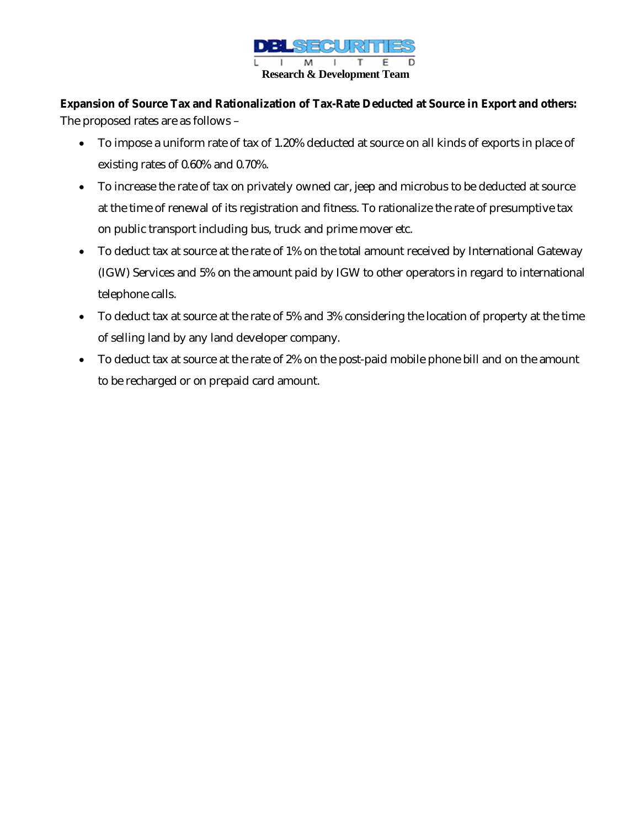

**Expansion of Source Tax and Rationalization of Tax-Rate Deducted at Source in Export and others:** The proposed rates are as follows –

- To impose a uniform rate of tax of 1.20% deducted at source on all kinds of exports in place of existing rates of 0.60% and 0.70%.
- To increase the rate of tax on privately owned car, jeep and microbus to be deducted at source at the time of renewal of its registration and fitness. To rationalize the rate of presumptive tax on public transport including bus, truck and prime mover etc.
- To deduct tax at source at the rate of 1% on the total amount received by International Gateway (IGW) Services and 5% on the amount paid by IGW to other operators in regard to international telephone calls.
- To deduct tax at source at the rate of 5% and 3% considering the location of property at the time of selling land by any land developer company.
- To deduct tax at source at the rate of 2% on the post-paid mobile phone bill and on the amount to be recharged or on prepaid card amount.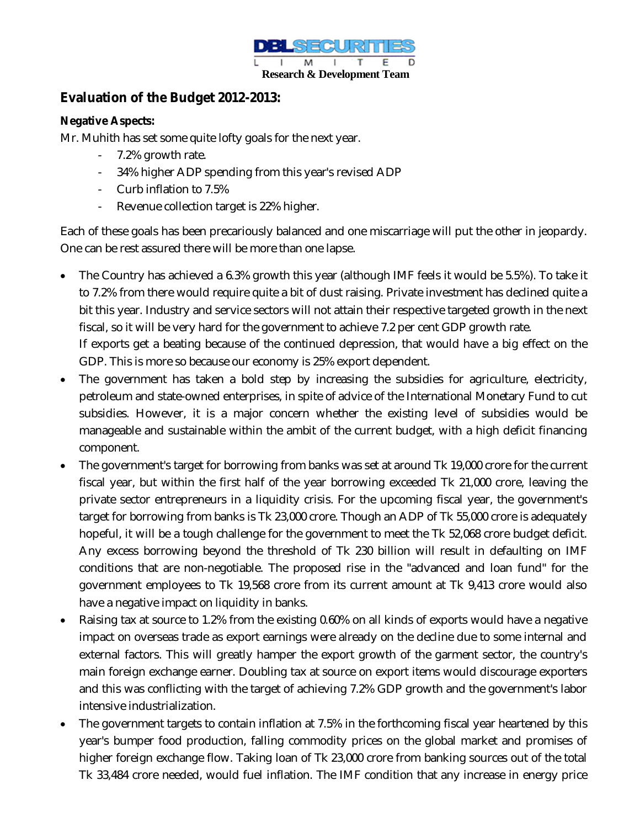

## **Evaluation of the Budget 2012-2013:**

### **Negative Aspects:**

Mr. Muhith has set some quite lofty goals for the next year.

- 7.2% growth rate.
- 34% higher ADP spending from this year's revised ADP
- Curb inflation to 7.5%
- Revenue collection target is 22% higher.

Each of these goals has been precariously balanced and one miscarriage will put the other in jeopardy. One can be rest assured there will be more than one lapse.

 The Country has achieved a 6.3% growth this year (although IMF feels it would be 5.5%). To take it to 7.2% from there would require quite a bit of dust raising. Private investment has declined quite a bit this year. Industry and service sectors will not attain their respective targeted growth in the next fiscal, so it will be very hard for the government to achieve 7.2 per cent GDP growth rate. If exports get a beating because of the continued depression, that would have a big effect on the

GDP. This is more so because our economy is 25% export dependent.

- The government has taken a bold step by increasing the subsidies for agriculture, electricity, petroleum and state-owned enterprises, in spite of advice of the International Monetary Fund to cut subsidies. However, it is a major concern whether the existing level of subsidies would be manageable and sustainable within the ambit of the current budget, with a high deficit financing component.
- The government's target for borrowing from banks was set at around Tk 19,000 crore for the current fiscal year, but within the first half of the year borrowing exceeded Tk 21,000 crore, leaving the private sector entrepreneurs in a liquidity crisis. For the upcoming fiscal year, the government's target for borrowing from banks is Tk 23,000 crore. Though an ADP of Tk 55,000 crore is adequately hopeful, it will be a tough challenge for the government to meet the Tk 52,068 crore budget deficit. Any excess borrowing beyond the threshold of Tk 230 billion will result in defaulting on IMF conditions that are non-negotiable. The proposed rise in the "advanced and loan fund" for the government employees to Tk 19,568 crore from its current amount at Tk 9,413 crore would also have a negative impact on liquidity in banks.
- Raising tax at source to 1.2% from the existing 0.60% on all kinds of exports would have a negative impact on overseas trade as export earnings were already on the decline due to some internal and external factors. This will greatly hamper the export growth of the garment sector, the country's main foreign exchange earner. Doubling tax at source on export items would discourage exporters and this was conflicting with the target of achieving 7.2% GDP growth and the government's labor intensive industrialization.
- The government targets to contain inflation at 7.5% in the forthcoming fiscal year heartened by this year's bumper food production, falling commodity prices on the global market and promises of higher foreign exchange flow. Taking loan of Tk 23,000 crore from banking sources out of the total Tk 33,484 crore needed, would fuel inflation. The IMF condition that any increase in energy price